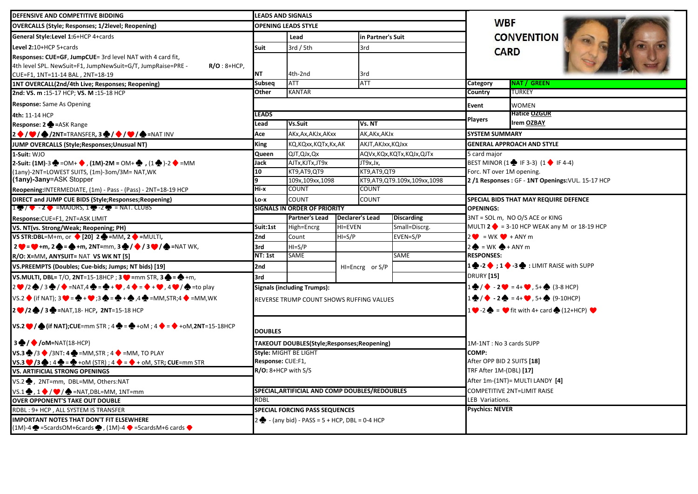| DEFENSIVE AND COMPETITIVE BIDDING                                                                                                                                                 | <b>LEADS AND SIGNALS</b>                               |                                                          |  |                             |                             |                                                                                 |                                                                                         |  |  |  |  |
|-----------------------------------------------------------------------------------------------------------------------------------------------------------------------------------|--------------------------------------------------------|----------------------------------------------------------|--|-----------------------------|-----------------------------|---------------------------------------------------------------------------------|-----------------------------------------------------------------------------------------|--|--|--|--|
| <b>OVERCALLS (Style; Responses; 1/2level; Reopening)</b>                                                                                                                          | <b>OPENING LEADS STYLE</b>                             |                                                          |  |                             |                             |                                                                                 | <b>WBF</b>                                                                              |  |  |  |  |
| General Style: Level 1:6+HCP 4+cards                                                                                                                                              | Lead                                                   |                                                          |  | in Partner's Suit           |                             | <b>CONVENTION</b>                                                               |                                                                                         |  |  |  |  |
| Level 2:10+HCP 5+cards                                                                                                                                                            | 3rd / 5th<br>Suit                                      |                                                          |  | 3rd                         |                             | <b>CARD</b>                                                                     |                                                                                         |  |  |  |  |
| Responses: CUE=GF, JumpCUE= 3rd level NAT with 4 card fit,                                                                                                                        |                                                        |                                                          |  |                             |                             |                                                                                 |                                                                                         |  |  |  |  |
| 4th level SPL. NewSuit=F1, JumpNewSuit=G/T, JumpRaise=PRE -<br>$R/O:8+HCP,$                                                                                                       |                                                        |                                                          |  |                             |                             |                                                                                 |                                                                                         |  |  |  |  |
| CUE=F1, 1NT=11-14 BAL, 2NT=18-19                                                                                                                                                  | <b>NT</b>                                              | 4th-2nd                                                  |  | 3rd                         |                             |                                                                                 |                                                                                         |  |  |  |  |
| 1NT OVERCALL(2nd/4th Live; Responses; Reopening)                                                                                                                                  | Subseq                                                 | <b>ATT</b>                                               |  | <b>ATT</b>                  |                             | Category                                                                        | <b>NAT / GREEN</b>                                                                      |  |  |  |  |
| 2nd: VS. m : 15-17 HCP; VS. M : 15-18 HCP                                                                                                                                         | Other<br>KANTAR                                        |                                                          |  |                             |                             | Country                                                                         | TURKEY                                                                                  |  |  |  |  |
| <b>Response:</b> Same As Opening                                                                                                                                                  | <b>Event</b>                                           |                                                          |  |                             |                             |                                                                                 | <b>WOMEN</b>                                                                            |  |  |  |  |
| 4th: 11-14 HCP                                                                                                                                                                    | <b>LEADS</b>                                           |                                                          |  |                             |                             | Players                                                                         | <b>Hatice OZGUR</b>                                                                     |  |  |  |  |
| Response: 2 = ASK Range                                                                                                                                                           | Lead                                                   | Vs.Suit                                                  |  | Vs. NT                      |                             |                                                                                 | <b>Irem OZBAY</b>                                                                       |  |  |  |  |
| $2\bullet$ / $\bullet$ / $\bullet$ /2NT=TRANSFER, 3 $\bullet$ / $\bullet$ / $\bullet$ / $\bullet$ =NAT INV                                                                        | Ace                                                    | AKx, Ax, AKJx, AKxx                                      |  | AK,AKx,AKJx                 |                             | <b>SYSTEM SUMMARY</b>                                                           |                                                                                         |  |  |  |  |
| JUMP OVERCALLS (Style; Responses; Unusual NT)                                                                                                                                     | <b>King</b>                                            | KQ,KQxx,KQTx,Kx,AK                                       |  | AKJT, AKJxx, KQJxx          |                             | <b>GENERAL APPROACH AND STYLE</b>                                               |                                                                                         |  |  |  |  |
| 1-Suit: WJO                                                                                                                                                                       | Queen                                                  | QJT, QJx, Qx                                             |  |                             | AQVx, KQx, KQTx, KQJx, QJTx | 5 card major                                                                    |                                                                                         |  |  |  |  |
| 2-Suit: (1M)-3 → = OM+ → , (1M)-2M = OM+ → , (1 → )-2 → = MM                                                                                                                      | Jack                                                   | AJTx, KJTx, JT9x                                         |  | JT9x,Jx,                    |                             | BEST MINOR $(1 \oplus 1F - 3-3)$ $(1 \oplus 1F - 4-4)$                          |                                                                                         |  |  |  |  |
| (1any)-2NT=LOWEST SUITS, (1m)-3om/3M= NAT, WK                                                                                                                                     | 10                                                     | KT9,AT9,QT9                                              |  | KT9,AT9,QT9                 |                             | Forc. NT over 1M opening.                                                       |                                                                                         |  |  |  |  |
| (1any)-3any=ASK Stopper                                                                                                                                                           |                                                        | 109x, 109xx, 1098                                        |  | KT9,AT9,QT9.109x,109xx,1098 |                             | 2/1 Responses: GF - 1NT Openings: VUL. 15-17 HCP                                |                                                                                         |  |  |  |  |
| Reopening: INTERMEDIATE, (1m) - Pass - (Pass) - 2NT=18-19 HCP                                                                                                                     | Hi-x<br><b>COUNT</b>                                   |                                                          |  | COUNT                       |                             |                                                                                 |                                                                                         |  |  |  |  |
| DIRECT and JUMP CUE BIDS (Style; Responses; Reopening)                                                                                                                            | <b>COUNT</b><br>Lo-x                                   |                                                          |  | COUNT                       |                             | SPECIAL BIDS THAT MAY REQUIRE DEFENCE                                           |                                                                                         |  |  |  |  |
| $1 \oplus 7 \rightarrow -2 \rightarrow$ =MAJORS, $1 \oplus -2 \rightarrow$ = NAT. CLUBS                                                                                           | <b>SIGNALS IN ORDER OF PRIORITY</b>                    |                                                          |  |                             |                             | <b>OPENINGS:</b>                                                                |                                                                                         |  |  |  |  |
| Response: CUE=F1, 2NT=ASK LIMIT                                                                                                                                                   |                                                        | <b>Partner's Lead</b><br><b>Declarer's Lead</b>          |  |                             | <b>Discarding</b>           |                                                                                 | 3NT = SOL m, NO O/S ACE or KING<br>MULTI 2 $\bullet$ = 3-10 HCP WEAK any M or 18-19 HCP |  |  |  |  |
| VS. NT(vs. Strong/Weak; Reopening; PH)                                                                                                                                            | Suit:1st<br>High=Encrg<br>HI=EVEN<br>$HI = S/P$<br>2nd |                                                          |  | Small=Discrg.<br>EVEN=S/P   |                             | $2 \bullet = \text{WK} \bullet + \text{ANY} \text{m}$                           |                                                                                         |  |  |  |  |
| VS STR:DBL=M+m, or $\bigcirc$ [20] 2 $\bigcirc$ =MM, 2 $\bigcirc$ =MULTI,                                                                                                         |                                                        | Count                                                    |  |                             |                             |                                                                                 |                                                                                         |  |  |  |  |
| $2 \bullet = \bullet + m$ , $2 \bullet = \bullet + m$ , $2NT=mm$ , $3 \bullet / \bullet / 3 \bullet / \bullet = NAT$ WK,                                                          | 3rd<br><b>NT: 1st</b>                                  | $HI = S/P$<br>SAME                                       |  | SAME                        |                             | $2 \bigoplus$ = WK $\bigoplus$ + ANY m                                          |                                                                                         |  |  |  |  |
| R/O: X=MM, ANYSUIT= NAT VS WK NT [5]                                                                                                                                              |                                                        |                                                          |  |                             |                             | <b>RESPONSES:</b>                                                               |                                                                                         |  |  |  |  |
| VS.PREEMPTS (Doubles; Cue-bids; Jumps; NT bids) [19]                                                                                                                              | 2nd                                                    |                                                          |  | HI=Encrg or S/P             |                             | $1 \oplus 2 \oplus 1 \oplus 3 \oplus 1$ : LIMIT RAISE with SUPP                 |                                                                                         |  |  |  |  |
| VS.MULTI, DBL= T/O, 2NT=15-18HCP; $3 \blacktriangleright$ =mm STR, $3 \blacklozenge$ = $\blacklozenge$ +m,                                                                        | 3rd                                                    |                                                          |  |                             |                             | <b>DRURY</b> [15]                                                               |                                                                                         |  |  |  |  |
| $2$ $\bigcirc$ /2 $\bigcirc$ /3 $\bigcirc$ / $\bigcirc$ =NAT,4 $\bigcirc$ = $\bigcirc$ + $\bigcirc$ , 4 $\bigcirc$ = $\bigcirc$ + $\bigcirc$ , 4 $\bigcirc$ / $\bigcirc$ =to play |                                                        | <b>Signals (including Trumps):</b>                       |  |                             |                             | $\frac{1}{2}$ / $\bullet$ - 2 $\bullet$ = 4+ $\bullet$ , 5+ $\bullet$ (3-8 HCP) |                                                                                         |  |  |  |  |
| VS.2 ♦ (if NAT); 3 $\blacklozenge = \clubsuit + \blacklozenge$ ;3 $\spadesuit = \clubsuit + \spadesuit$ ,4 $\clubsuit$ =MM,STR;4 $\blacklozenge$ =MM,WK                           |                                                        | REVERSE TRUMP COUNT SHOWS RUFFING VALUES                 |  |                             |                             |                                                                                 | $1 \oplus / \bullet - 2 \spadesuit = 4 + \bullet , 5 + \bullet (9-10$ HCP)              |  |  |  |  |
| $2 \cdot 2 \cdot 2 = 13$ = NAT, 18- HCP, 2NT=15-18 HCP                                                                                                                            |                                                        |                                                          |  |                             |                             | $1 \bullet -2 \bullet = \bullet$ fit with 4+ card $\bullet$ (12+HCP) $\bullet$  |                                                                                         |  |  |  |  |
| VS.2 $\blacktriangleright$ / $\blacklozenge$ (if NAT); CUE=mm STR ; 4 $\blacklozenge$ = $\blacklozenge$ +oM ; 4 $\blacklozenge$ = $\blacklozenge$ +oM, 2NT=15-18HCP               | <b>DOUBLES</b>                                         |                                                          |  |                             |                             |                                                                                 |                                                                                         |  |  |  |  |
| $3 \bigoplus / \bigotimes / \text{oM=NAT}(18\text{-HCP})$                                                                                                                         |                                                        | TAKEOUT DOUBLES(Style;Responses;Reopening)               |  |                             |                             | 1M-1NT: No 3 cards SUPP                                                         |                                                                                         |  |  |  |  |
| $\mathsf{VS}.3 \bigoplus$ /3 $\bigodot$ /3NT: 4 $\bigoplus$ =MM, STR ; 4 $\bigodot$ =MM, TO PLAY                                                                                  |                                                        | Style: MIGHT BE LIGHT                                    |  |                             |                             | COMP:                                                                           |                                                                                         |  |  |  |  |
| VS.3 $\bigcirc$ /3 $\bigcirc$ : 4 $\bigcirc$ = $\bigcirc$ + oM (STR) ; 4 $\bigcirc$ = $\bigcirc$ + oM, STR; CUE=mm STR                                                            | Response: CUE:F1,                                      |                                                          |  |                             |                             | After OPP BID 2 SUITS [18]                                                      |                                                                                         |  |  |  |  |
| <b>VS. ARTIFICIAL STRONG OPENINGS</b>                                                                                                                                             | $R/O: 8+HCP$ with S/S                                  |                                                          |  |                             |                             | TRF After 1M-(DBL) [17]                                                         |                                                                                         |  |  |  |  |
| VS.2 , 2NT=mm, DBL=MM, Others:NAT                                                                                                                                                 |                                                        |                                                          |  |                             |                             | After 1m-(1NT)= MULTI LANDY [4]                                                 |                                                                                         |  |  |  |  |
| $VS.1 \bigoplus, 1 \bigoplus / \bigotimes / \bigoplus$ =NAT, DBL=MM, 1NT=mm                                                                                                       |                                                        | SPECIAL, ARTIFICIAL AND COMP DOUBLES/REDOUBLES           |  |                             |                             | COMPETITIVE 2NT=LIMIT RAISE                                                     |                                                                                         |  |  |  |  |
| <b>OVER OPPONENT'S TAKE OUT DOUBLE</b>                                                                                                                                            | <b>RDBL</b>                                            |                                                          |  |                             |                             | LEB Variations.                                                                 |                                                                                         |  |  |  |  |
| RDBL: 9+ HCP, ALL SYSTEM IS TRANSFER                                                                                                                                              |                                                        | <b>SPECIAL FORCING PASS SEQUENCES</b>                    |  |                             |                             | <b>Psychics: NEVER</b>                                                          |                                                                                         |  |  |  |  |
| <b>IMPORTANT NOTES THAT DON'T FIT ELSEWHERE</b>                                                                                                                                   |                                                        | $\bigotimes$ - (any bid) - PASS = 5 + HCP, DBL = 0-4 HCP |  |                             |                             |                                                                                 |                                                                                         |  |  |  |  |
| $(1M)-4$ $\clubsuit$ =5cardsOM+6cards $\clubsuit$ , (1M)-4 $\triangleright$ =5cardsM+6 cards $\triangleright$                                                                     |                                                        |                                                          |  |                             |                             |                                                                                 |                                                                                         |  |  |  |  |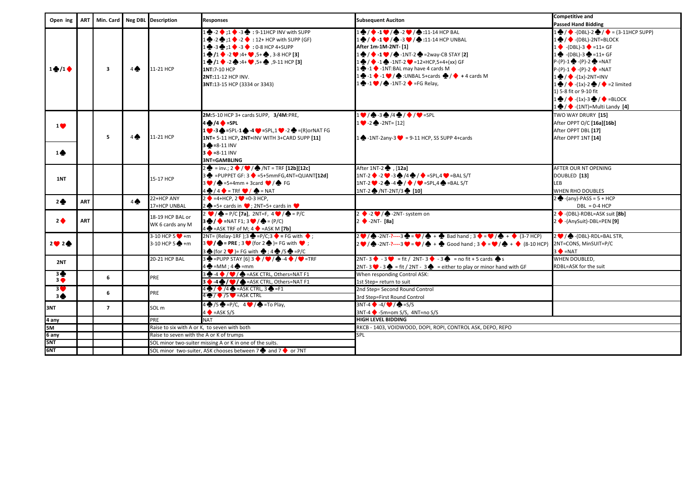|                                           |            |                         |                | Open ing   ART   Min. Card   Neg DBL Description | <b>Responses</b>                                                                                                                          | <b>Subsequent Auciton</b>                                                                                                                        | <b>Competitive and</b>                                                    |
|-------------------------------------------|------------|-------------------------|----------------|--------------------------------------------------|-------------------------------------------------------------------------------------------------------------------------------------------|--------------------------------------------------------------------------------------------------------------------------------------------------|---------------------------------------------------------------------------|
|                                           |            |                         |                |                                                  |                                                                                                                                           |                                                                                                                                                  | <b>Passed Hand Bidding</b>                                                |
|                                           |            |                         |                |                                                  | $\bullet$ -2 $\bullet$ :1 $\bullet$ -3 $\bullet$ : 9-11HCP INV with SUPP                                                                  | $\frac{1}{2}$ / $\frac{1}{2}$ -1 $\frac{1}{2}$ / $\frac{1}{2}$ -2 $\frac{1}{2}$ / $\frac{1}{2}$ :11-14 HCP BAL                                   | $1 \bigoplus / \bigodot$ -(DBL)-2 $\bigoplus / \bigodot$ = (3-11HCP SUPP) |
|                                           |            |                         |                |                                                  | $\bullet$ -2 $\bullet$ :1 $\bullet$ -2 $\bullet$ : 12+ HCP with SUPP (GF)                                                                 | $\frac{1}{2}$ / $\frac{1}{2}$ -1 $\frac{1}{2}$ / $\frac{1}{2}$ -3 $\frac{1}{2}$ / $\frac{1}{2}$ :11-14 HCP UNBAL                                 | $1 \bigoplus / \bigoplus$ -(DBL)-2NT=BLOCK                                |
|                                           |            |                         |                |                                                  | $\frac{1}{2}$ -3 $\frac{1}{2}$ :1 $\div$ -3 $\div$ : 0-8 HCP 4+SUPP                                                                       | After 1m-1M-2NT- [1]                                                                                                                             | $1 \bullet (-\text{DBL}) - 3 \bullet = 11 + \text{GF}$                    |
|                                           |            |                         |                |                                                  | $\bigoplus$ /1 $\bigoplus$ -2 $\bigoplus$ :4+ $\bigoplus$ ,5+ $\bigoplus$ , 3-8 HCP [3]                                                   | $\frac{1}{2}$ / $\bullet$ -1 $\bullet$ / $\bullet$ -1NT-2 $\bullet$ =2way-CB STAY [2]                                                            | $1 \oplus (-DBL)-3 \oplus 11+GF$                                          |
|                                           |            |                         |                |                                                  | $\frac{1}{2}$ /1 $\div$ -2 $\div$ :4+ $\div$ ,5+ $\div$ ,9-11 HCP [3]                                                                     | $\frac{1}{2}$ / $\frac{1}{2}$ -1 $\frac{1}{2}$ -1NT-2 $\frac{1}{2}$ =12+HCP,5+4+(xx) GF                                                          | $P-(P)-1$ $\clubsuit$ -(P)-2 $\clubsuit$ =NAT                             |
| $1 + 1 +$                                 |            | $\overline{\mathbf{3}}$ | $4 \spadesuit$ | 11-21 HCP                                        | 1NT:7-10 HCP                                                                                                                              | $\bullet$ -1 $\bullet$ -1NT:BAL may have 4 cards M                                                                                               | $P-(P)-1$ $\bullet$ -(P)-2 $\bullet$ =NAT                                 |
|                                           |            |                         |                |                                                  | 2NT:11-12 HCP INV.                                                                                                                        | $1 \bigoplus -1 \bigoplus -1 \bigoplus / \bigoplus$ :UNBAL 5+cards $\bigoplus / \bigoplus +4$ cards M                                            | $1 \bigoplus / \bigotimes$ -(1x)-2NT=INV                                  |
|                                           |            |                         |                |                                                  | 3NT:13-15 HCP (3334 or 3343)                                                                                                              | $\frac{1}{2}$ -1 $\frac{1}{2}$ / $\frac{1}{2}$ -1NT-2 $\blacklozenge$ =FG Relay,                                                                 | $1 \oplus / \bullet$ -(1x)-2 $\oplus / \bullet$ =2 limited                |
|                                           |            |                         |                |                                                  |                                                                                                                                           |                                                                                                                                                  | 1) 5-8 fit or 9-10 fit                                                    |
|                                           |            |                         |                |                                                  |                                                                                                                                           |                                                                                                                                                  | $1 \oplus / \bullet$ -(1x)-3 $\bullet$ / $\bullet$ =BLOCK                 |
|                                           |            |                         |                |                                                  |                                                                                                                                           |                                                                                                                                                  | $1 \bigoplus / \bigoplus$ -(1NT)=Multi Landy [4]                          |
|                                           |            |                         |                |                                                  | 2M:5-10 HCP 3+ cards SUPP, 3/4M:PRE,                                                                                                      | $1$ $\bullet$ / $\bullet$ -3 $\bullet$ /4 $\bullet$ / $\bullet$ / $\bullet$ =SPL                                                                 | TWO WAY DRURY [15]                                                        |
| 1 <b>V</b>                                |            |                         |                |                                                  | $4\clubsuit$ /4 $\spadesuit$ =SPL                                                                                                         | $1 \bullet -2 \bullet -2$ $\bullet$ -2NT= [12]                                                                                                   | After OPPT O/C [16a][16b]                                                 |
|                                           |            |                         |                |                                                  | $1 \bullet 3 \bullet = \mathsf{SPL}\cdot 1 \bullet 4 \bullet = \mathsf{SPL}\cdot 1 \bullet \cdot 2 \bullet = (\mathsf{R})\text{orNAT FG}$ |                                                                                                                                                  | After OPPT DBL [17]                                                       |
|                                           |            | 5                       | $4 \spadesuit$ | 11-21 HCP                                        | 1NT= 5-11 HCP, 2NT=INV WITH 3+CARD SUPP [11]                                                                                              | $\bullet$ -1NT-2any-3 $\bullet$ = 9-11 HCP, SS SUPP 4+cards                                                                                      | After OPPT 1NT [14]                                                       |
|                                           |            |                         |                |                                                  | $3 - 8 - 11$ INV                                                                                                                          |                                                                                                                                                  |                                                                           |
| $1 \spadesuit$                            |            |                         |                |                                                  | $3 \bullet = 8 - 11$ INV                                                                                                                  |                                                                                                                                                  |                                                                           |
|                                           |            |                         |                |                                                  | 3NT=GAMBLING                                                                                                                              |                                                                                                                                                  |                                                                           |
|                                           |            |                         |                |                                                  | $2 \cdot 2 = \text{inv.}; 2 \cdot 2 \cdot 2 = \text{NF} [12b][12c]$                                                                       | After 1NT-2 (12a]                                                                                                                                | AFTER OUR NT OPENING                                                      |
| 1NT                                       |            |                         |                | 15-17 HCP                                        | $\bullet$ =PUPPET GF: 3 $\bullet$ =5+5mmFG,4NT=QUANT[12d]                                                                                 | $1NT-2$ $\rightarrow$ $-2$ $\rightarrow$ $-3$ $\rightarrow$ $/4$ $\rightarrow$ $/$ $\rightarrow$ $=$ $SPL,4$ $\rightarrow$ $=$ $BAL S/T$         | DOUBLED [13]                                                              |
|                                           |            |                         |                |                                                  | $3 \bullet / \spadesuit = 5 + 4$ mm + 3card $\bullet / \spadesuit$ FG                                                                     | $1NT-2$ $2$ $-2$ $-4$ $+$ / $\bullet$ / $\bullet$ =SPL,4 $\bullet$ =BAL S/T                                                                      | <b>LEB</b>                                                                |
|                                           |            |                         |                |                                                  | $4\clubsuit/4$ $\bullet$ = TRf $\heartsuit$ / $\spadesuit$ = NAT                                                                          | 1NT-2 <u>A/NT-2NT/3</u> 10]                                                                                                                      | <b>WHEN RHO DOUBLES</b>                                                   |
| 2 <sup>4</sup>                            | <b>ART</b> |                         | $4 \spadesuit$ | 22+HCP ANY                                       | $2 \cdot = 4 + HCP$ . 2 $\bullet = 0.3 HCP$ .                                                                                             |                                                                                                                                                  | $2 \oplus -$ (any)-PASS = 5 + HCP                                         |
|                                           |            |                         |                | 17+HCP UNBAL                                     | $\bullet$ =5+ cards in $\bullet$ ; 2NT=5+ cards in $\bullet$                                                                              |                                                                                                                                                  | $DBL = 0-4 HCP$                                                           |
|                                           |            |                         |                | 18-19 HCP BAL or                                 | $P = P/C$ [7a], 2NT=F, 4 $\bullet$ / $\bullet$ = P/C                                                                                      | $2 \cdot 2 \cdot 2$ / $\bullet$ -2NT- system on                                                                                                  | 2 ← - (DBL)-RDBL=ASK suit [8b]                                            |
| 2 <sup>4</sup>                            | <b>ART</b> |                         |                | WK 6 cards any M                                 | $3 \bigoplus / \bigotimes = NAT$ F1; $3 \bigotimes / \bigotimes = (P/C)$                                                                  | $2 \cdot 2NT - [8a]$                                                                                                                             | 2 → - (AnySuit)-DBL=PEN [9]                                               |
|                                           |            |                         |                |                                                  | $4 \bigoplus$ =ASK TRF of M; $4 \bigoplus$ =ASK M [7b]                                                                                    |                                                                                                                                                  |                                                                           |
|                                           |            |                         |                | $3-10$ HCP 5 $+$ m                               | 2NT= (Relay-1RF):3 $\bullet$ =P/C:3 $\bullet$ = FG with $\bullet$ :                                                                       | $2 \cdot 2 \cdot 4$ -2NT-?---3 $\cdot 3 = \cdot 4$ / $\cdot 4 + \cdot 5 = 8$ Bad hand ; 3 $\cdot 3 = \cdot 4$ / $\cdot 4 + \cdot 5 = (3-7)$ HCP) | 2 / <b>4</b> - (DBL)-RDL=BAL STR,                                         |
| 2024                                      |            |                         |                | $3-10$ HCP 5 $\bigoplus$ +m                      | $3 \bullet / \bullet =$ PRE ; $3 \bullet$ (for $2 \bullet$ )= FG with $\bullet$ ;                                                         | $2 \bullet$ / $\bullet$ -2NT-?----3 $\bullet = \bullet$ / $\bullet + \bullet$ Good hand ; 3 $\bullet = \bullet$ / $\bullet + \bullet$ (8-10 HCP) | 2NT=CONS, MinSUIT=P/C                                                     |
|                                           |            |                         |                |                                                  | $3 \bigoplus$ (for 2 $\bigcirc$ )= FG with $\bigoplus$ ; 4 $\bigoplus$ /5 $\bigoplus$ =P/C                                                |                                                                                                                                                  | $3 \bullet = \text{NAT}$                                                  |
| 2NT                                       |            |                         |                | <b>20-21 HCP BAL</b>                             | $3 \bigoplus$ =PUPP STAY [6] $3 \bigoplus / \bigotimes / \bigoplus$ -4 $\bigoplus / \bigotimes$ =TRF                                      | $2NT - 3$ $\rightarrow$ $-3$ $\rightarrow$ = fit / 2NT-3 $\rightarrow$ -3 $\rightarrow$ = no fit + 5 cards $\rightarrow$ s                       | WHEN DOUBLED.                                                             |
|                                           |            |                         |                |                                                  | $4\clubsuit$ =MM ; $4\spadesuit$ =mm                                                                                                      | 2NT-3 $\bullet$ - 3 $\bullet$ = fit / 2NT - 3 $\bullet$ = either to play or minor hand with GF                                                   | RDBL=ASK for the suit                                                     |
| $\overline{\mathbf{3}}$<br>3 <sup>o</sup> |            | 6                       |                | PRE                                              | $3 \bigoplus -4 \bigoplus / \bigotimes / \bigoplus =$ ASK CTRL, Others=NAT F1                                                             | When responding Control ASK:                                                                                                                     |                                                                           |
|                                           |            |                         |                |                                                  | 3 4 4 7 / FASK CTRL, Others=NAT F1<br>$4\clubsuit$ / $\lozenge$ /4 $\spadesuit$ = ASK CTRL, 3 $\spadesuit$ = F1                           | 1st Step= return to suit                                                                                                                         |                                                                           |
| 3 V<br>3 <sup>4</sup>                     |            | 6                       |                | PRE                                              | $4\clubsuit/$ / $5\bullet$ = ASK CTRL                                                                                                     | 2nd Step= Second Round Control                                                                                                                   |                                                                           |
|                                           |            |                         |                |                                                  |                                                                                                                                           | 3rd Step=First Round Control                                                                                                                     |                                                                           |
| 3NT                                       |            | $\overline{7}$          |                | SOL <sub>m</sub>                                 | $1\clubsuit/5\clubsuit$ =P/C, $4\heartsuit/\spadesuit$ =To Play,                                                                          | $3NT-4$ $-4$ / $\bullet$ $-5/5$                                                                                                                  |                                                                           |
|                                           |            |                         |                |                                                  | $4 \bullet = ASK S/S$                                                                                                                     | $3NT-4$ -5m=om S/S, $4NT=no S/S$                                                                                                                 |                                                                           |
| 4 any                                     |            |                         |                | PRE                                              | <b>NAT</b>                                                                                                                                | <b>HIGH LEVEL BIDDING</b>                                                                                                                        |                                                                           |
| 5M                                        |            |                         |                |                                                  | Raise to six with A or K, to seven with both                                                                                              | RKCB - 1403, VOIDWOOD, DOPI, ROPI, CONTROL ASK, DEPO, REPO                                                                                       |                                                                           |
| 6 any                                     |            |                         |                | Raise to seven with the A or K of trumps         |                                                                                                                                           | SPL                                                                                                                                              |                                                                           |
| 5NT                                       |            |                         |                |                                                  | SOL minor two-suiter missing A or K in one of the suits.                                                                                  |                                                                                                                                                  |                                                                           |
| 6NT                                       |            |                         |                |                                                  | SOL minor two-suiter, ASK chooses between 7 <b>♦</b> and 7 $\bullet$ or 7NT                                                               |                                                                                                                                                  |                                                                           |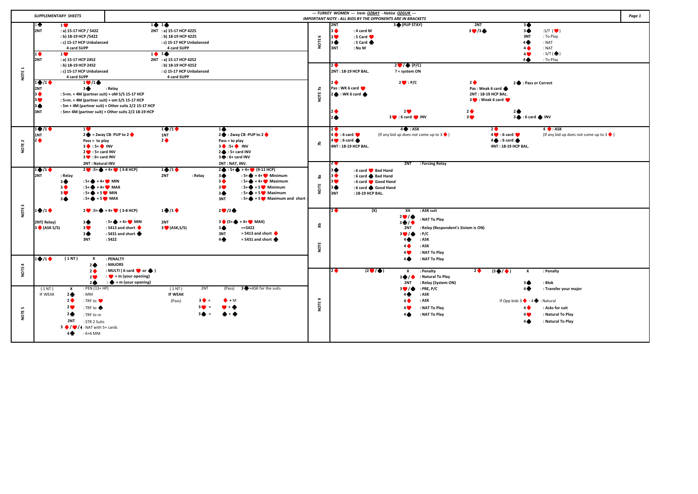| <b>SUPPLEMENTARY SHEETS</b> |                                                                   |                                                                                                                                                                                                                                        |                                                                                                                                                                                                                          | --- TURKEY WOMEN --- Irem OZBAY - Hatice OZGUR ---<br><b>IMPORTANT NOTE : ALL BIDS BY THE OPPONENTS ARE IN BRACKETS</b>                                                                                       |                                                               |                                                                                                                                                                           |           |                                                          |                                                                     |                                                                                                                                                     |                                                                                                                               | Page 1                                                                                                           |                                                                         |                                                                                                 |  |
|-----------------------------|-------------------------------------------------------------------|----------------------------------------------------------------------------------------------------------------------------------------------------------------------------------------------------------------------------------------|--------------------------------------------------------------------------------------------------------------------------------------------------------------------------------------------------------------------------|---------------------------------------------------------------------------------------------------------------------------------------------------------------------------------------------------------------|---------------------------------------------------------------|---------------------------------------------------------------------------------------------------------------------------------------------------------------------------|-----------|----------------------------------------------------------|---------------------------------------------------------------------|-----------------------------------------------------------------------------------------------------------------------------------------------------|-------------------------------------------------------------------------------------------------------------------------------|------------------------------------------------------------------------------------------------------------------|-------------------------------------------------------------------------|-------------------------------------------------------------------------------------------------|--|
| NOTE <sub>1</sub>           | 10<br>2NT<br>$1$ $\bullet$<br>2NT                                 | $1$ $\bullet$<br>: a) 15-17 HCP / 5422<br>: b) 18-19 HCP / 5422<br>: c) 15-17 HCP Unbalanced<br>4 card SUPP<br>$1$ $\bullet$<br>: a) 15-17 HCP 2452<br>: b) 18-19 HCP 2452<br>: c) 15-17 HCP Unbalanced<br>4 card SUPP                 |                                                                                                                                                                                                                          | 1414<br>2NT : a) 15-17 HCP 4225<br>: b) 18-19 HCP 4225<br>: c) 15-17 HCP Unbalanced<br>4 card SUPP<br>$1 + 1 +$<br>2NT : a) 15-17 HCP 4252<br>: b) 18-19 HCP 4252<br>: c) 15-17 HCP Unbalanced<br>4 card SUPP |                                                               |                                                                                                                                                                           | NOTE 6    | 2NT<br>3 ♦<br>3 <b>W</b><br>3 ♠<br>3NT<br>2 <sub>0</sub> | : 4 card M<br>: 5 Card<br>: 5 Card<br>: No M<br>2NT: 18-19 HCP BAL. | 3 (PUP STAY)<br>$2 \bullet$ / $\bullet$ (P/C)<br>$? = system ON$                                                                                    |                                                                                                                               | 2NT<br>30/3                                                                                                      | 30<br>34<br>3NT<br>4 <sub>2</sub><br>4 <sup>•</sup><br>4 <b>V</b><br>40 | :S/T $($<br>: To Play<br>: NAT<br>: NAT<br>: $S/T$ ( $\spadesuit$ )<br>: To Play                |  |
|                             | $1\bigoplus/1\bigoplus$<br>2NT<br>3 ♠<br>3 <b>W</b><br>34<br>3NT  | $1 \cdot 1$<br>3♦                                                                                                                                                                                                                      | : Relay<br>: 5+m. + 4M (partner suit) + oM S/S 15-17 HCP<br>: 5+m. + 4M (partner suit) + om S/S 15-17 HCP<br>: 5m + 4M (partner suit) + Other suits 2/2 15-17 HCP<br>: 5m+ 4M (partner suit) + Other suits 2/2 18-19 HCP |                                                                                                                                                                                                               |                                                               |                                                                                                                                                                           | NOTE 7a   | 2♦<br>2 <sub>4</sub>                                     | Pas: WK 6 card<br>$2 \cdot WK6$ card                                | $2 \bullet \cdot P/C$<br>2 <sup>o</sup><br>3 0 :6 card 0 INV                                                                                        |                                                                                                                               | $2$ $\bullet$<br>Pas: Weak 6 card<br>2NT: 18-19 HCP BAL.<br>3 O : Weak 6 card<br>$2$ $\bullet$<br>3 <sup>4</sup> | 2 C : Pass or Correct<br>2 <sub>•</sub><br>3 6 : 6 card @ INV           |                                                                                                 |  |
| NOTE <sub>2</sub>           | $1 \bullet 1 \bullet$<br>1NT<br>2 <sup>0</sup>                    | 1 <b>V</b><br>Pass = to play<br>$3 \bullet : 5 + \bullet$ INV<br>2 : 5+ card INV<br>$3 \bullet : 6 + card$ INV<br>2NT: Natural INV                                                                                                     | $2 \oplus 2$ way CB-PUP to $2 \oplus 2$                                                                                                                                                                                  | $1 \bullet 1 \bullet$<br>1NT<br>$2$ $\bullet$                                                                                                                                                                 | 14                                                            | 2 <b>●</b> : 2way CB -PUP to 2 ●<br>Pass = to play<br>$3 \bullet 15+ \bullet 10V$<br>$2 \cdot 5 +$ card INV<br>3 $\bigoplus$ : 6+ card INV<br>2NT: NAT. INV.              | £         | 2♦<br>24                                                 | 4 6 : 6 card<br>$4 \bullet 6$ card $\bullet$<br>4NT: 18-19 HCP BAL. | $4 \bullet : ASK$<br>(If any bid up does not come up to $3 \blacklozenge$ )<br>2NT                                                                  | : Forcing Relay                                                                                                               | $\overline{2}$                                                                                                   | 4 0 :6 card<br>$4 \bullet : 6$ card<br>4NT: 18-19 HCP BAL.              | $4 \cdot ASK$<br>(If any bid up does not come up to $3 \blacklozenge$ )                         |  |
|                             | $1 \cdot 1$<br>2NT                                                | : Relay<br>: $5 + 4 + 1$ MIN<br>3♠<br>: $5 + 4 + 1$ MAX<br>$3$ $\bullet$<br>3 <sup>o</sup><br>$:5 + 6 + 5$ MIN<br>$:5 + 6 + 5$ MAX<br>34                                                                                               | $2 \bullet 15 + \bullet 14 + \bullet (3-8)$ HCP)                                                                                                                                                                         | $1 \bullet 1 \bullet$<br>2NT                                                                                                                                                                                  | 3<br>: Relay<br>3 <sup>4</sup><br>3 <sup>o</sup><br>30<br>3NT | $2 \oplus 15 + 4 + 4 + 9 (9-11 HCP)$<br>: $5 + 4 + 1$ Minimum<br>: $5+$ + 4+ Maximum<br>: $5 + 4 + 5$ Minimum<br>: $5 + 6 + 5$ Maximum<br>: $5 + 5$ + 5 Maximum and short | 8<br>NOTE | 30<br>3♦<br>3 <b>W</b><br>3♠<br>3NT                      | : 6 card Bad Hand<br>: 6 card & Bad Hand<br>: 18-19 HCP BAL.        | : 6 card Good Hand<br>: 6 card Good Hand                                                                                                            |                                                                                                                               |                                                                                                                  |                                                                         |                                                                                                 |  |
| NOTE <sub>3</sub>           | $1$ $/1$ $\blacklozenge$<br>2NT(Relay)<br>$3 \bigoplus (ASK S/S)$ | 3♠<br>30<br>36<br>3NT<br>(1NT)<br>$\boldsymbol{\mathsf{x}}$                                                                                                                                                                            | $2 \bullet 15 + 4 + 4 + 6 (3-8)$ HCP)<br>: $5 + 4 + 1$ MIN<br>: 5413 and short •<br>: 5431 and short<br>: 5422<br>: PENALTY                                                                                              | $1$ $/1$ $\bullet$<br>2NT<br>$3$ (ASK, S/S)                                                                                                                                                                   | 20/2<br>36<br>3NT<br>4 <sub>2</sub>                           | $3$ $(5 + 4 + 4)$ MAX)<br>$==5422$<br>$= 5413$ and short $\bullet$<br>$= 5431$ and short                                                                                  | 욺<br>NOTE | $2$ $\bullet$                                            |                                                                     | (X)<br>$\overline{\mathbf{X}}$<br>$2$ <sup>0</sup> / <sup>4</sup><br>$3 + 4$<br>2NT<br>30/6<br>4♠<br>$4 \spadesuit$<br>4 <b>W</b><br>4 <sub>4</sub> | : ASK suit<br>: NAT To Play<br>: Relay (Respondent's Sistem is ON)<br>P/C<br>: ASK<br>: ASK<br>: NAT To Play<br>: NAT To Play |                                                                                                                  |                                                                         |                                                                                                 |  |
| <b>NOTE 4</b>               |                                                                   | 2 <sub>2</sub><br>2 <sub>0</sub><br>2 <sup>o</sup><br>2 <sub>0</sub>                                                                                                                                                                   | : MAJORS<br>: MULTI (6 card $\bullet$ or $\spadesuit$ )<br>$\cdots$ + m (your opening)<br>: $\bigoplus$ + m (your opening)                                                                                               |                                                                                                                                                                                                               |                                                               |                                                                                                                                                                           |           | $2$ $\bullet$                                            |                                                                     | $(2 \bullet / \bullet)$<br>x<br>$3 + 1$<br>2NT                                                                                                      | : Penalty<br>: Natural To Play<br>: Relay (System ON)                                                                         | 2                                                                                                                | $(3 + 4)$<br>x<br>30                                                    | : Penalty<br>: Blok                                                                             |  |
| $\mathbf{r}$<br>뽄<br>ġ      | (1NT)<br>IF WEAK                                                  | : PEN (13+ HP)<br>x<br>$2 + 1$<br>: MM<br>2 <sub>0</sub><br>: TRF to ♥<br>2 <sup>o</sup><br>: TRF to ◆<br>2 <sub>2</sub><br>: TRF to m<br>2NT<br>: STR 2 Suits<br>$3 \bigoplus / \bigoplus / 4$ : NAT with 5+ cards<br>40<br>$:6+6$ MM |                                                                                                                                                                                                                          | (1NT)<br><b>IF WEAK</b><br>(Pass)                                                                                                                                                                             | 2NT<br>$3$ $\bullet$ =<br>$\bullet$ + M                       | 3 = ASK for the suits<br>(Pass)                                                                                                                                           | NOTE 9    |                                                          |                                                                     | 30/4<br>4♠<br>$4\spadesuit$<br>4 <b>0</b><br>$4\spadesuit$                                                                                          | $:$ PRE, P/C<br>: ASK<br>: ASK<br>: NAT To Play<br>: NAT To Play                                                              |                                                                                                                  | 4♠<br>If Opp bids $3 \bullet -4 \bullet$<br>4♦<br>4 <b>C</b><br>4≜      | : Transfer your major<br>: Natural<br>: Asks for suit<br>: Natural To Play<br>: Natural To Play |  |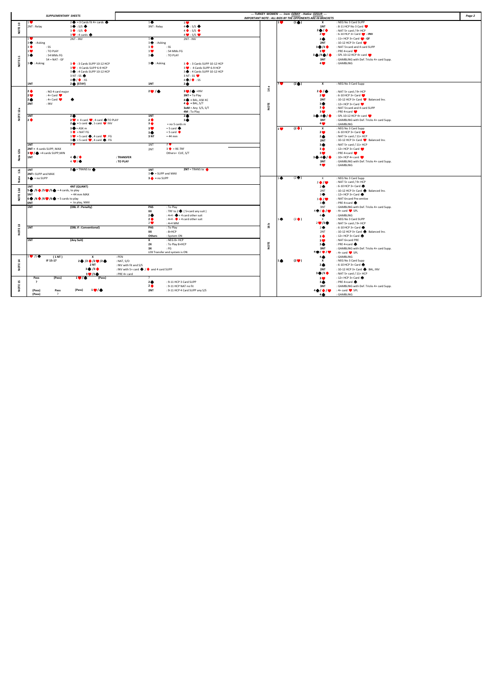